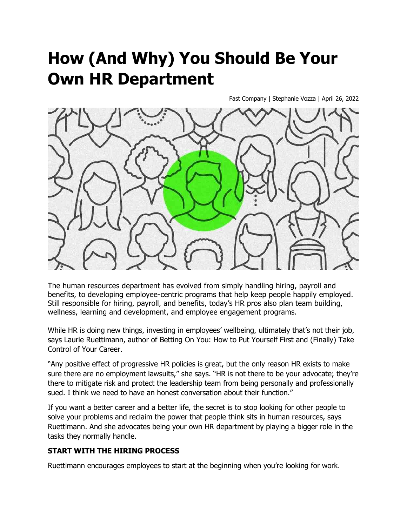# **How (And Why) You Should Be Your Own HR Department**

Fast Company | Stephanie Vozza | April 26, 2022



The human resources department has evolved from simply handling hiring, payroll and benefits, to developing employee-centric programs that help keep people happily employed. Still responsible for hiring, payroll, and benefits, today's HR pros also plan team building, wellness, learning and development, and employee engagement programs.

While HR is doing new things, investing in employees' wellbeing, ultimately that's not their job, says Laurie Ruettimann, author of Betting On You: How to Put Yourself First and (Finally) Take Control of Your Career.

"Any positive effect of progressive HR policies is great, but the only reason HR exists to make sure there are no employment lawsuits," she says. "HR is not there to be your advocate; they're there to mitigate risk and protect the leadership team from being personally and professionally sued. I think we need to have an honest conversation about their function."

If you want a better career and a better life, the secret is to stop looking for other people to solve your problems and reclaim the power that people think sits in human resources, says Ruettimann. And she advocates being your own HR department by playing a bigger role in the tasks they normally handle.

### **START WITH THE HIRING PROCESS**

Ruettimann encourages employees to start at the beginning when you're looking for work.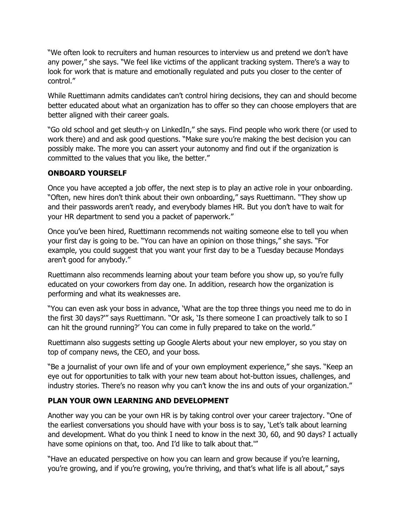"We often look to recruiters and human resources to interview us and pretend we don't have any power," she says. "We feel like victims of the applicant tracking system. There's a way to look for work that is mature and emotionally regulated and puts you closer to the center of control."

While Ruettimann admits candidates can't control hiring decisions, they can and should become better educated about what an organization has to offer so they can choose employers that are better aligned with their career goals.

"Go old school and get sleuth-y on LinkedIn," she says. Find people who work there (or used to work there) and and ask good questions. "Make sure you're making the best decision you can possibly make. The more you can assert your autonomy and find out if the organization is committed to the values that you like, the better."

### **ONBOARD YOURSELF**

Once you have accepted a job offer, the next step is to play an active role in your onboarding. "Often, new hires don't think about their own onboarding," says Ruettimann. "They show up and their passwords aren't ready, and everybody blames HR. But you don't have to wait for your HR department to send you a packet of paperwork."

Once you've been hired, Ruettimann recommends not waiting someone else to tell you when your first day is going to be. "You can have an opinion on those things," she says. "For example, you could suggest that you want your first day to be a Tuesday because Mondays aren't good for anybody."

Ruettimann also recommends learning about your team before you show up, so you're fully educated on your coworkers from day one. In addition, research how the organization is performing and what its weaknesses are.

"You can even ask your boss in advance, 'What are the top three things you need me to do in the first 30 days?'" says Ruettimann. "Or ask, 'Is there someone I can proactively talk to so I can hit the ground running?' You can come in fully prepared to take on the world."

Ruettimann also suggests setting up Google Alerts about your new employer, so you stay on top of company news, the CEO, and your boss.

"Be a journalist of your own life and of your own employment experience," she says. "Keep an eye out for opportunities to talk with your new team about hot-button issues, challenges, and industry stories. There's no reason why you can't know the ins and outs of your organization."

### **PLAN YOUR OWN LEARNING AND DEVELOPMENT**

Another way you can be your own HR is by taking control over your career trajectory. "One of the earliest conversations you should have with your boss is to say, 'Let's talk about learning and development. What do you think I need to know in the next 30, 60, and 90 days? I actually have some opinions on that, too. And I'd like to talk about that.'"

"Have an educated perspective on how you can learn and grow because if you're learning, you're growing, and if you're growing, you're thriving, and that's what life is all about," says